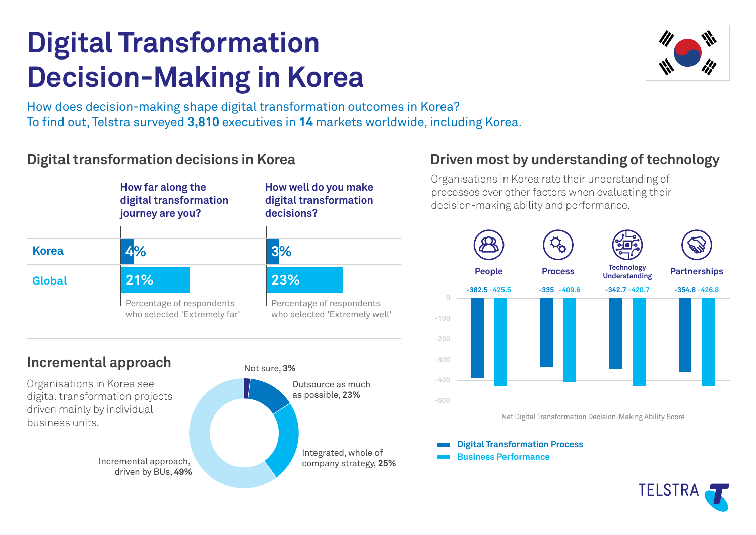# **Digital Transformation Decision-Making in Korea**



How does decision-making shape digital transformation outcomes in Korea? To find out, Telstra surveyed 3,810 executives in 14 markets worldwide, including Korea.

## **Digital transformation decisions in Korea**



## **Incremental approach**

Organisations in Korea see digital transformation projects driven mainly by individual business units.

driven by BUs, **49%**





# **Driven most by understanding of technology**

Organisations in Korea rate their understanding of processes over other factors when evaluating their decision-making ability and performance.



Net Digital Transformation Decision-Making Ability Score

**Digital Transformation Process**

**Business Performance**